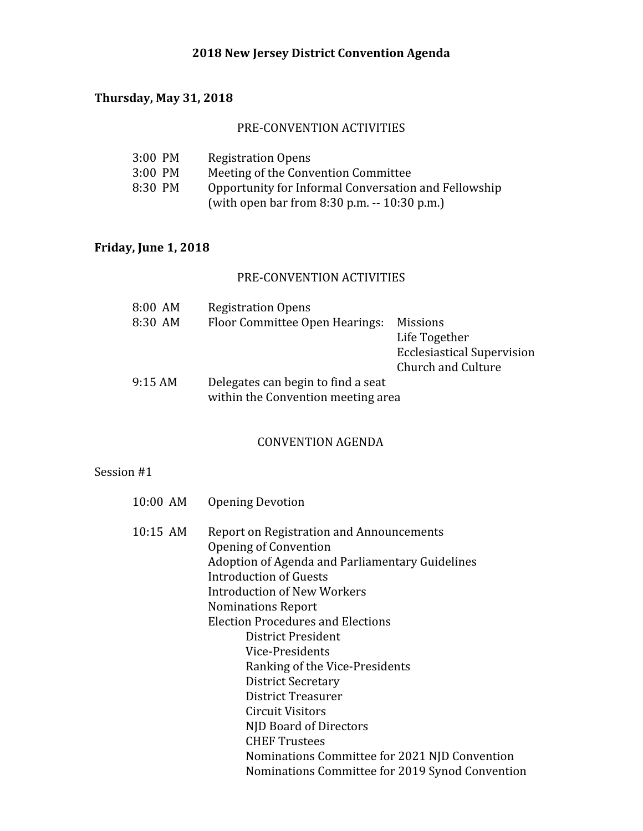## **2018 New Jersey District Convention Agenda**

# **Thursday, May 31, 2018**

## PRE-CONVENTION ACTIVITIES

| $3:00$ PM | <b>Registration Opens</b>                            |
|-----------|------------------------------------------------------|
| $3:00$ PM | Meeting of the Convention Committee                  |
| 8:30 PM   | Opportunity for Informal Conversation and Fellowship |
|           | (with open bar from 8:30 p.m. $-10:30$ p.m.)         |

# **Friday, June 1, 2018**

### PRE-CONVENTION ACTIVITIES

| 8:00 AM | <b>Registration Opens</b>          |                                   |
|---------|------------------------------------|-----------------------------------|
| 8:30 AM | Floor Committee Open Hearings:     | <b>Missions</b>                   |
|         |                                    | Life Together                     |
|         |                                    | <b>Ecclesiastical Supervision</b> |
|         |                                    | Church and Culture                |
| 9:15AM  | Delegates can begin to find a seat |                                   |
|         | within the Convention meeting area |                                   |

#### CONVENTION AGENDA

# Session #1

| 10:00 AM | <b>Opening Devotion</b>                                                                                                                                                                                                                                                                                                                                                                                                                                           |
|----------|-------------------------------------------------------------------------------------------------------------------------------------------------------------------------------------------------------------------------------------------------------------------------------------------------------------------------------------------------------------------------------------------------------------------------------------------------------------------|
| 10:15 AM | Report on Registration and Announcements<br>Opening of Convention<br>Adoption of Agenda and Parliamentary Guidelines<br><b>Introduction of Guests</b><br><b>Introduction of New Workers</b><br>Nominations Report<br><b>Election Procedures and Elections</b><br>District President<br>Vice-Presidents<br>Ranking of the Vice-Presidents<br><b>District Secretary</b><br>District Treasurer<br>Circuit Visitors<br>NJD Board of Directors<br><b>CHEF Trustees</b> |
|          | Nominations Committee for 2021 NJD Convention<br>Nominations Committee for 2019 Synod Convention                                                                                                                                                                                                                                                                                                                                                                  |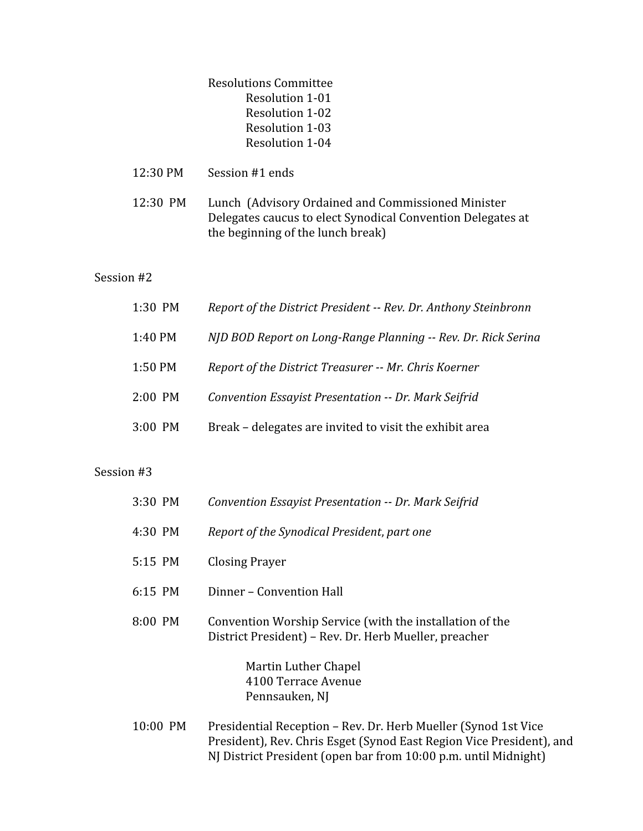Resolutions Committee Resolution 1-01 Resolution 1-02 Resolution 1-03 Resolution 1-04

- 12:30 PM Session #1 ends
- 12:30 PM Lunch (Advisory Ordained and Commissioned Minister Delegates caucus to elect Synodical Convention Delegates at the beginning of the lunch break)

#### Session #2

| 1:30 PM   | Report of the District President -- Rev. Dr. Anthony Steinbronn |
|-----------|-----------------------------------------------------------------|
| 1:40 PM   | NJD BOD Report on Long-Range Planning -- Rev. Dr. Rick Serina   |
| 1:50 PM   | Report of the District Treasurer -- Mr. Chris Koerner           |
| $2:00$ PM | Convention Essayist Presentation -- Dr. Mark Seifrid            |
| 3:00 PM   | Break – delegates are invited to visit the exhibit area         |

#### Session #3

| 3:30 PM  | Convention Essayist Presentation -- Dr. Mark Seifrid                                                              |
|----------|-------------------------------------------------------------------------------------------------------------------|
| 4:30 PM  | Report of the Synodical President, part one                                                                       |
| 5:15 PM  | Closing Prayer                                                                                                    |
| 6:15 PM  | Dinner - Convention Hall                                                                                          |
| 8:00 PM  | Convention Worship Service (with the installation of the<br>District President) – Rev. Dr. Herb Mueller, preacher |
|          | Martin Luther Chapel<br>4100 Terrace Avenue<br>Pennsauken, NJ                                                     |
| 10.00 DM | Dreadential Deception Day Dr. Health Mueller (Cyned 1st V                                                         |

10:00 PM Presidential Reception – Rev. Dr. Herb Mueller (Synod 1st Vice President), Rev. Chris Esget (Synod East Region Vice President), and NJ District President (open bar from 10:00 p.m. until Midnight)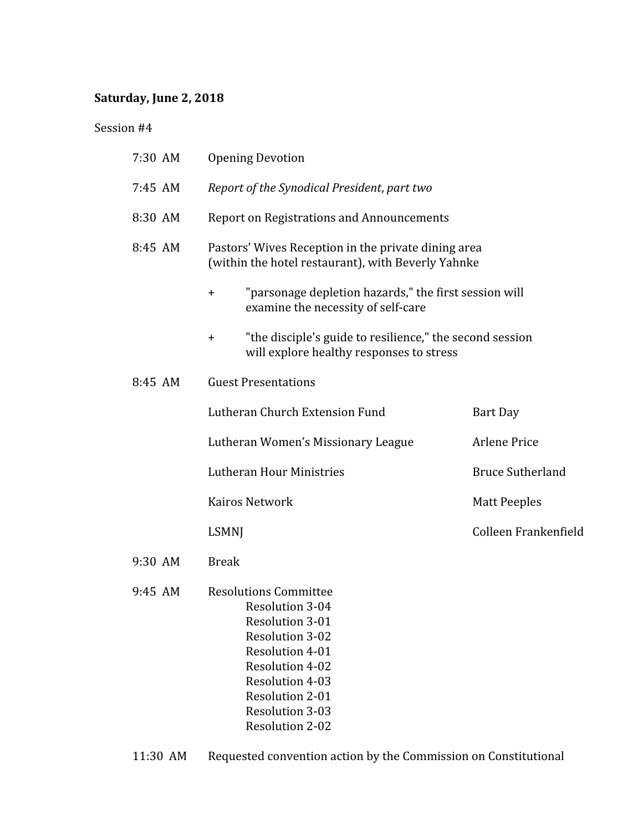# **Saturday, June 2, 2018**

Session #4

| 7:30 AM | <b>Opening Devotion</b>                                                                                                                                                                                                                                  |                         |  |
|---------|----------------------------------------------------------------------------------------------------------------------------------------------------------------------------------------------------------------------------------------------------------|-------------------------|--|
| 7:45 AM | Report of the Synodical President, part two                                                                                                                                                                                                              |                         |  |
| 8:30 AM | <b>Report on Registrations and Announcements</b>                                                                                                                                                                                                         |                         |  |
| 8:45 AM | Pastors' Wives Reception in the private dining area<br>(within the hotel restaurant), with Beverly Yahnke                                                                                                                                                |                         |  |
|         | "parsonage depletion hazards," the first session will<br>$\ddagger$<br>examine the necessity of self-care                                                                                                                                                |                         |  |
|         | "the disciple's guide to resilience," the second session<br>$\pm$<br>will explore healthy responses to stress                                                                                                                                            |                         |  |
| 8:45 AM | <b>Guest Presentations</b>                                                                                                                                                                                                                               |                         |  |
|         | Lutheran Church Extension Fund                                                                                                                                                                                                                           | Bart Day                |  |
|         | Lutheran Women's Missionary League                                                                                                                                                                                                                       | <b>Arlene Price</b>     |  |
|         | Lutheran Hour Ministries                                                                                                                                                                                                                                 | <b>Bruce Sutherland</b> |  |
|         | <b>Kairos Network</b>                                                                                                                                                                                                                                    | <b>Matt Peeples</b>     |  |
|         | <b>LSMNJ</b>                                                                                                                                                                                                                                             | Colleen Frankenfield    |  |
| 9:30 AM | <b>Break</b>                                                                                                                                                                                                                                             |                         |  |
| 9:45 AM | <b>Resolutions Committee</b><br><b>Resolution 3-04</b><br><b>Resolution 3-01</b><br><b>Resolution 3-02</b><br>Resolution 4-01<br>Resolution 4-02<br><b>Resolution 4-03</b><br><b>Resolution 2-01</b><br><b>Resolution 3-03</b><br><b>Resolution 2-02</b> |                         |  |

11:30 AM Requested convention action by the Commission on Constitutional